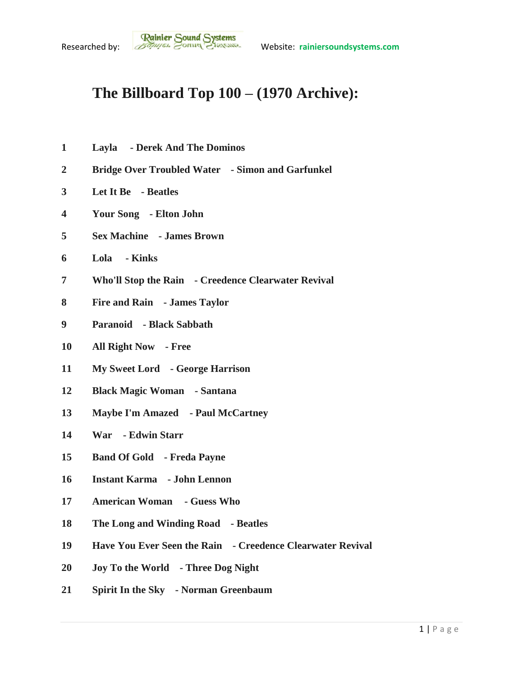## **The Billboard Top 100 – (1970 Archive):**

- **Layla - Derek And The Dominos**
- **Bridge Over Troubled Water - Simon and Garfunkel**
- **Let It Be - Beatles**
- **Your Song - Elton John**
- **Sex Machine - James Brown**
- **Lola - Kinks**
- **Who'll Stop the Rain - Creedence Clearwater Revival**
- **Fire and Rain - James Taylor**
- **Paranoid - Black Sabbath**
- **All Right Now - Free**
- **My Sweet Lord - George Harrison**
- **Black Magic Woman - Santana**
- **Maybe I'm Amazed - Paul McCartney**
- **War - Edwin Starr**
- **Band Of Gold - Freda Payne**
- **Instant Karma - John Lennon**
- **American Woman - Guess Who**
- **The Long and Winding Road - Beatles**
- **Have You Ever Seen the Rain - Creedence Clearwater Revival**
- **Joy To the World - Three Dog Night**
- **Spirit In the Sky - Norman Greenbaum**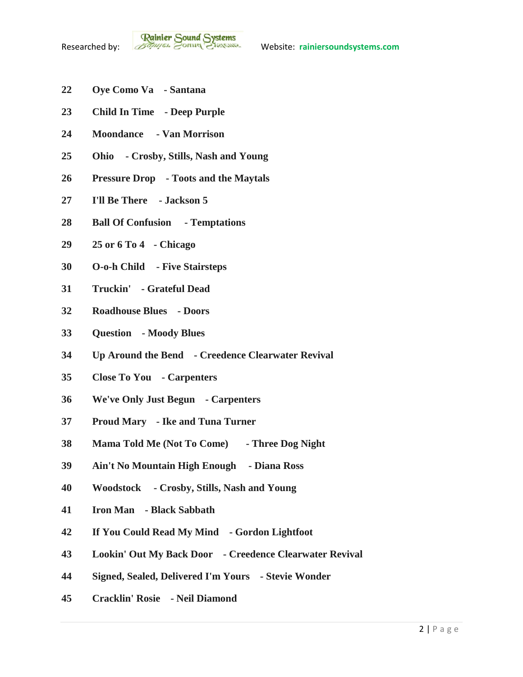- **Oye Como Va - Santana**
- **Child In Time - Deep Purple**
- **Moondance - Van Morrison**
- **Ohio - Crosby, Stills, Nash and Young**
- **Pressure Drop - Toots and the Maytals**
- **I'll Be There - Jackson 5**
- **Ball Of Confusion - Temptations**
- **25 or 6 To 4 - Chicago**
- **O-o-h Child - Five Stairsteps**
- **Truckin' - Grateful Dead**
- **Roadhouse Blues - Doors**
- **Question - Moody Blues**
- **Up Around the Bend - Creedence Clearwater Revival**
- **Close To You - Carpenters**
- **We've Only Just Begun - Carpenters**
- **Proud Mary - Ike and Tuna Turner**
- **Mama Told Me (Not To Come) - Three Dog Night**
- **Ain't No Mountain High Enough - Diana Ross**
- **Woodstock - Crosby, Stills, Nash and Young**
- **Iron Man - Black Sabbath**
- **If You Could Read My Mind - Gordon Lightfoot**
- **Lookin' Out My Back Door - Creedence Clearwater Revival**
- **Signed, Sealed, Delivered I'm Yours - Stevie Wonder**
- **Cracklin' Rosie - Neil Diamond**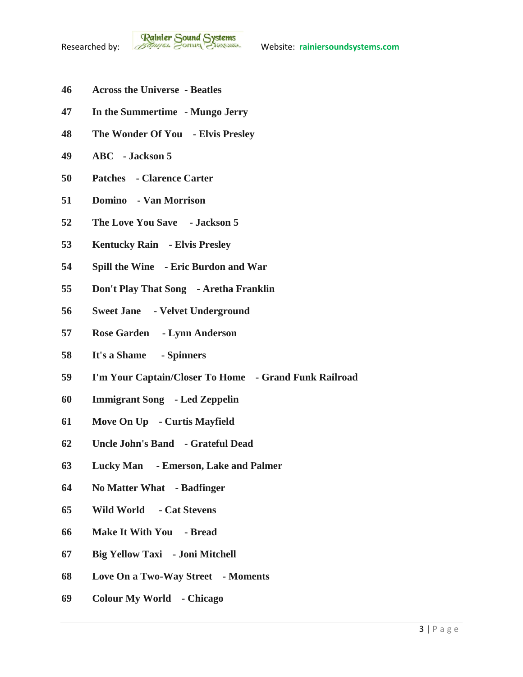- **Across the Universe - Beatles**
- **In the Summertime - Mungo Jerry**
- **The Wonder Of You - Elvis Presley**
- **ABC - Jackson 5**
- **Patches - Clarence Carter**
- **Domino - Van Morrison**
- **The Love You Save - Jackson 5**
- **Kentucky Rain - Elvis Presley**
- **Spill the Wine - Eric Burdon and War**
- **Don't Play That Song - Aretha Franklin**
- **Sweet Jane - Velvet Underground**
- **Rose Garden - Lynn Anderson**
- **It's a Shame - Spinners**
- **I'm Your Captain/Closer To Home - Grand Funk Railroad**
- **Immigrant Song - Led Zeppelin**
- **Move On Up - Curtis Mayfield**
- **Uncle John's Band - Grateful Dead**
- **Lucky Man - Emerson, Lake and Palmer**
- **No Matter What - Badfinger**
- **Wild World - Cat Stevens**
- **Make It With You - Bread**
- **Big Yellow Taxi - Joni Mitchell**
- **Love On a Two-Way Street - Moments**
- **Colour My World - Chicago**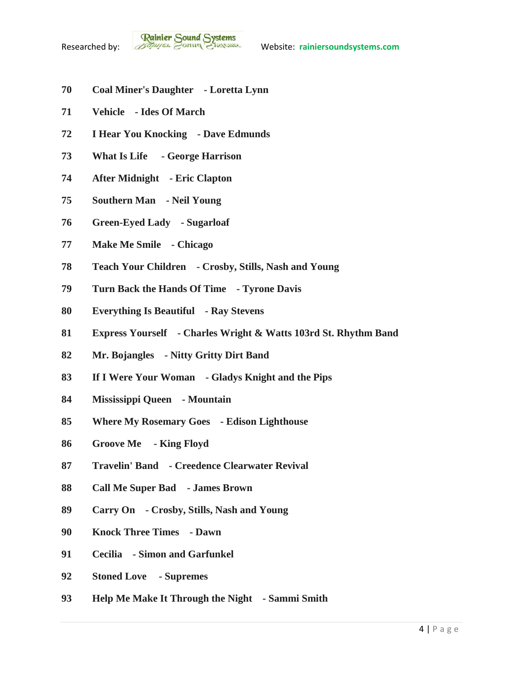**Rainier Sound Systems**<br>Researched by: *Bothuges* Conner Charantee Website: rainiersoundsystems.com

- **Coal Miner's Daughter - Loretta Lynn**
- **Vehicle - Ides Of March**
- **I Hear You Knocking - Dave Edmunds**
- **What Is Life - George Harrison**
- **After Midnight - Eric Clapton**
- **Southern Man - Neil Young**
- **Green-Eyed Lady - Sugarloaf**
- **Make Me Smile - Chicago**
- **Teach Your Children - Crosby, Stills, Nash and Young**
- **Turn Back the Hands Of Time - Tyrone Davis**
- **Everything Is Beautiful - Ray Stevens**
- **Express Yourself - Charles Wright & Watts 103rd St. Rhythm Band**
- **Mr. Bojangles - Nitty Gritty Dirt Band**
- **If I Were Your Woman - Gladys Knight and the Pips**
- **Mississippi Queen - Mountain**
- **Where My Rosemary Goes - Edison Lighthouse**
- **Groove Me - King Floyd**
- **Travelin' Band - Creedence Clearwater Revival**
- **Call Me Super Bad - James Brown**
- **Carry On - Crosby, Stills, Nash and Young**
- **Knock Three Times - Dawn**
- **Cecilia - Simon and Garfunkel**
- **Stoned Love - Supremes**
- **Help Me Make It Through the Night - Sammi Smith**